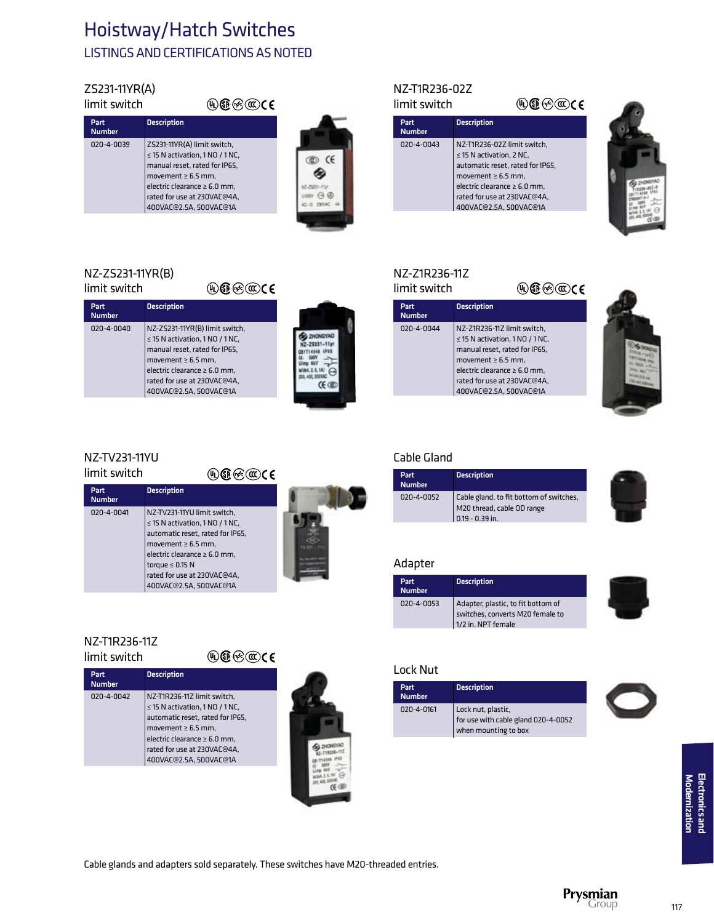## Hoistway/Hatch Switches LISTINGS AND CERTIFICATIONS AS NOTED

#### ZS231-11YR(A) limit switch

| limit switch          | (૫) ઊભે (≪) C E                                                                                                                                                                                                               |
|-----------------------|-------------------------------------------------------------------------------------------------------------------------------------------------------------------------------------------------------------------------------|
| Part<br><b>Number</b> | <b>Description</b>                                                                                                                                                                                                            |
| 020-4-0039            | ZS231-11YR(A) limit switch,<br>$\leq$ 15 N activation, 1 NO / 1 NC,<br>manual reset, rated for IP65,<br>movement $\geq 6.5$ mm,<br>electric clearance $\geq 6.0$ mm,<br>rated for use at 230VAC@4A,<br>400VAC@2.5A, 500VAC@1A |

Description

020-4-0040 NZ-ZS231-11YR(B) limit switch,

 ≤ 15 N activation, 1 NO / 1 NC, manual reset, rated for IP65,  $m$ ovement ≥ 6.5 mm, electric clearance ≥ 6.0 mm, rated for use at 230VAC@4A, 400VAC@2.5A, 500VAC@1A



**BE ZHONGYAO** KZ-28231-11yr **SITI 4048 4PSS** 04.2.5.1A/ e **CE CE** 

### NZ-T1R236-02Z limit switch

## $\textcolor{red}{\textcolor{blue}{\mathbf{\textcirc}}}$   $\textcolor{blue}{\mathbf{\textcirc}}$

| Part<br><b>Number</b> | <b>Description</b>                                                                                                                                                                                                        |
|-----------------------|---------------------------------------------------------------------------------------------------------------------------------------------------------------------------------------------------------------------------|
| 020-4-0043            | NZ-T1R236-02Z limit switch,<br>$\leq$ 15 N activation, 2 NC,<br>automatic reset, rated for IP65,<br>movement $\geq 6.5$ mm,<br>electric clearance $\geq 6.0$ mm,<br>rated for use at 230VAC@4A,<br>400VAC@2.5A, 500VAC@1A |



### NZ-Z1R236-11Z

| limit switch          | ନ®( <b>t©</b> ) (€                                                                                                                                                                                                            |  |
|-----------------------|-------------------------------------------------------------------------------------------------------------------------------------------------------------------------------------------------------------------------------|--|
| Part<br><b>Number</b> | <b>Description</b>                                                                                                                                                                                                            |  |
| 020-4-0044            | NZ-Z1R236-11Z limit switch.<br>$\leq$ 15 N activation, 1 NO / 1 NC,<br>manual reset, rated for IP65,<br>movement $\geq 6.5$ mm,<br>electric clearance $\geq 6.0$ mm,<br>rated for use at 230VAC@4A,<br>400VAC@2.5A, 500VAC@1A |  |
|                       |                                                                                                                                                                                                                               |  |



## NZ-TV231-11YU

NZ-ZS231-11YR(B) limit switch

Number

limit switch

## $\textcircled{\tiny\textcircled{\tiny\textcircled{\tiny$}}} \textcircled{\tiny\textcircled{\tiny\textcircled{\tiny$}}} \textcircled{\tiny\textcircled{\tiny\textcircled{\tiny$}}} \textcircled{\tiny\textcircled{\tiny\textcircled{\tiny$}}}$

 $\textcolor{red}{\textcircled{\tiny\#}} \textcolor{blue}{\textcircled{\tiny\#}} \textcolor{blue}{\textcircled{\tiny\#}}$ 



### NZ-T1R236-11Z limit switch

### $\textcircled{\tiny\textcircled{\tiny\textcircled{\tiny$}}} \textcircled{\tiny\textcircled{\tiny\textcircled{\tiny$}}} \textcircled{\tiny\textcircled{\tiny\textcircled{\tiny$}}} \textcircled{\tiny\textcircled{\tiny\textcircled{\tiny$}}}$

| Part<br><b>Number</b> | <b>Description</b>                                                                                                                                                                                                               |
|-----------------------|----------------------------------------------------------------------------------------------------------------------------------------------------------------------------------------------------------------------------------|
| 020-4-0042            | NZ-T1R236-11Z limit switch,<br>$\leq$ 15 N activation, 1 NO / 1 NC,<br>automatic reset, rated for IP65,<br>movement $\geq 6.5$ mm,<br>electric clearance $\geq 6.0$ mm,<br>rated for use at 230VAC@4A,<br>400VAC@2.5A, 500VAC@1A |



## Cable Gland

| Part<br><b>Number</b> | <b>Description</b>                                                                       |
|-----------------------|------------------------------------------------------------------------------------------|
| 020-4-0052            | Cable gland, to fit bottom of switches,<br>M20 thread, cable OD range<br>0.19 - 0.39 in. |

### Adapter

| Part<br><b>Number</b> | <b>Description</b>                                                                           |  |
|-----------------------|----------------------------------------------------------------------------------------------|--|
| 020-4-0053            | Adapter, plastic, to fit bottom of<br>switches, converts M20 female to<br>1/2 in. NPT female |  |

### Lock Nut

| <b>Part</b><br><b>Number</b> | <b>Description</b>                                                                |  |
|------------------------------|-----------------------------------------------------------------------------------|--|
| 020-4-0161                   | Lock nut, plastic,<br>for use with cable gland 020-4-0052<br>when mounting to box |  |



Cable glands and adapters sold separately. These switches have M20-threaded entries.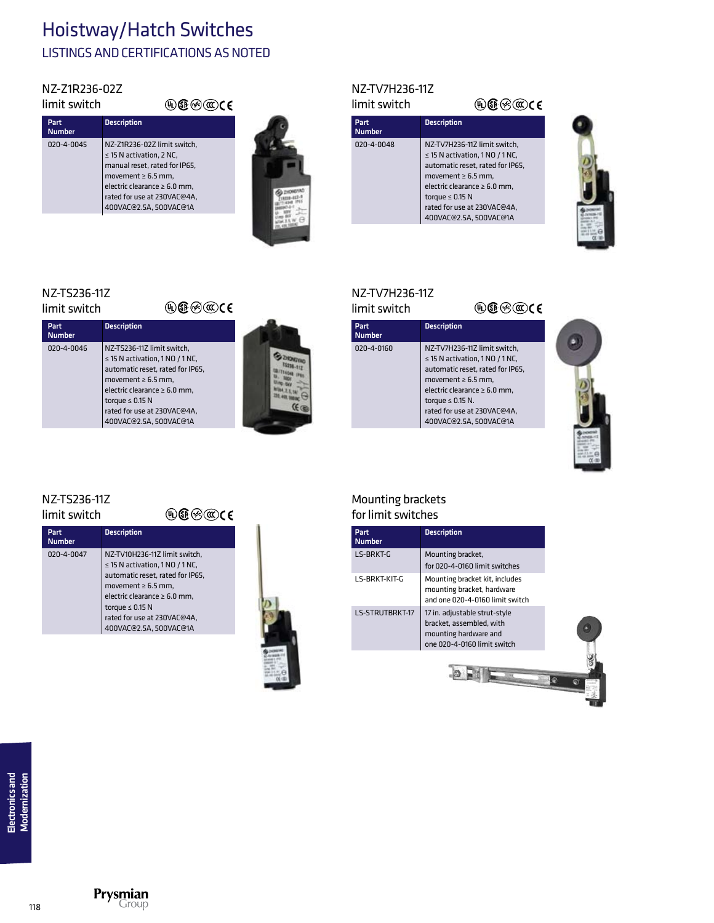## Hoistway/Hatch Switches LISTINGS AND CERTIFICATIONS AS NOTED

 $@)$  �� $@)$   $@)$   $@)$ 

### NZ-Z1R236-02Z limit switch

| Part<br><b>Number</b> | <b>Description</b>                                                                                                                                                                                                     |
|-----------------------|------------------------------------------------------------------------------------------------------------------------------------------------------------------------------------------------------------------------|
| 020-4-0045            | NZ-Z1R236-02Z limit switch,<br>$\leq$ 15 N activation. 2 NC.<br>manual reset, rated for IP65,<br>movement $\geq 6.5$ mm,<br>electric clearance $\geq 6.0$ mm.<br>rated for use at 230VAC@4A,<br>400VAC@2.5A. 500VAC@1A |
|                       |                                                                                                                                                                                                                        |



### NZ-TV7H236-11Z limit switch

Part<br>Number

### $\textcolor{red}{\textcolor{blue}{\mathbf{\textcirc}}}$   $\textcolor{blue}{\mathbf{\textcirc}}$   $\textcolor{blue}{\mathbf{\textcirc}}$ **Description** 020-4-0048 NZ-TV7H236-11Z limit switch, ≤ 15 N activation, 1 NO / 1 NC, automatic reset, rated for IP65, movement ≥ 6.5 mm, electric clearance ≥ 6.0 mm,

 rated for use at 230VAC@4A, 400VAC@2.5A, 500VAC@1A

torque  $\leq 0.15$  N



## $\overline{\phantom{a}}$

| limit switch          | ⊮)® (≪)(α⊜C€                                                                                                                                                                                                                                            |  |
|-----------------------|---------------------------------------------------------------------------------------------------------------------------------------------------------------------------------------------------------------------------------------------------------|--|
| Part<br><b>Number</b> | <b>Description</b>                                                                                                                                                                                                                                      |  |
| 020-4-0046            | NZ-TS236-11Z limit switch,<br>$\leq$ 15 N activation, 1 NO / 1 NC,<br>automatic reset, rated for IP65,<br>movement $\geq 6.5$ mm.<br>electric clearance $\geq 6.0$ mm.<br>torque $\leq$ 0.15 N<br>rated for use at 230VAC@4A,<br>400VAC@2.5A, 500VAC@1A |  |
|                       |                                                                                                                                                                                                                                                         |  |

## NZ-TV7H236-11Z

 $\textcircled{\tiny\textcircled{\tiny\textcircled{\tiny$}}} \oplus \textcircled{\tiny\textcircled{\tiny\textcircled{\tiny$}}} \in$ limit switch Part<br>Number **Description** 020-4-0160 NZ-TV7H236-11Z limit switch, ≤ 15 N activation, 1 NO / 1 NC, automatic reset, rated for IP65, movement  $\geq 6.5$  mm, electric clearance ≥ 6.0 mm, torque  $\leq 0.15$  N. rated for use at 230VAC@4A, 400VAC@2.5A, 500VAC@1A



### Mounting brackets for limit switches

| Part<br><b>Number</b> | <b>Description</b>                                                                                                |
|-----------------------|-------------------------------------------------------------------------------------------------------------------|
| LS-BRKT-G             | Mounting bracket,<br>for 020-4-0160 limit switches                                                                |
| LS-BRKT-KIT-G         | Mounting bracket kit, includes<br>mounting bracket, hardware<br>and one 020-4-0160 limit switch                   |
| LS-STRUTBRKT-17       | 17 in. adjustable strut-style<br>bracket, assembled, with<br>mounting hardware and<br>one 020-4-0160 limit switch |
|                       |                                                                                                                   |

## NZ-TS236-11Z

NZ-TS236-11Z

### limit switch

| mit switch            |                    | $\mathbf{\mathbb{C}}\mathfrak{C}\otimes \mathbf{\mathbb{C}}$ ce |
|-----------------------|--------------------|-----------------------------------------------------------------|
| Part<br><b>Number</b> | <b>Description</b> |                                                                 |
|                       |                    |                                                                 |

| <b>Number</b> |                                                                                                                                                                                                                                                            |
|---------------|------------------------------------------------------------------------------------------------------------------------------------------------------------------------------------------------------------------------------------------------------------|
| 020-4-0047    | NZ-TV10H236-11Z limit switch,<br>$\leq$ 15 N activation, 1 NO / 1 NC,<br>automatic reset, rated for IP65,<br>movement $\geq 6.5$ mm,<br>electric clearance $\geq 6.0$ mm,<br>torque $\leq$ 0.15 N<br>rated for use at 230VAC@4A,<br>400VAC@2.5A, 500VAC@1A |
|               |                                                                                                                                                                                                                                                            |